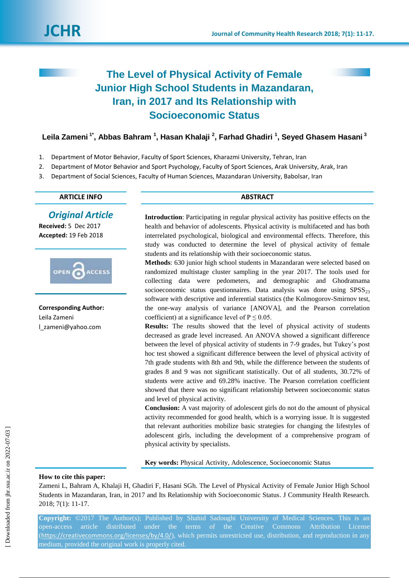

# **The Level of Physical Activity of Female Junior High School Students in Mazandaran, Iran, in 2017 and Its Relationship with Socioeconomic Status**

**Leila Zameni 1\* , Abbas Bahram <sup>1</sup> , Hasan Khalaji <sup>2</sup> , Farhad Ghadiri <sup>1</sup> , Seyed Ghasem Hasani <sup>3</sup>**

- 1. Department of Motor Behavior, Faculty of Sport Sciences, Kharazmi University, Tehran, Iran
- 2. Department of Motor Behavior and Sport Psychology, Faculty of Sport Sciences, Arak University, Arak, Iran
- 3. Department of Social Sciences, Faculty of Human Sciences, Mazandaran University, Babolsar, Iran

# **ARTICLE INFO ABSTRACT**

# *Original Article*

**Received:** 5 Dec 2017 **Accepted:** 19 Feb 2018



**Corresponding Author:** Leila Zameni l\_zameni@yahoo.com

**Introduction**: Participating in regular physical activity has positive effects on the health and behavior of adolescents. Physical activity is multifaceted and has both interrelated psychological, biological and environmental effects. Therefore, this study was conducted to determine the level of physical activity of female students and its relationship with their socioeconomic status.

**Methods**: 630 junior high school students in Mazandaran were selected based on randomized multistage cluster sampling in the year 2017. The tools used for collecting data were pedometers, and demographic and Ghodratnama socioeconomic status questionnaires. Data analysis was done using  $SPSS<sub>23</sub>$ software with descriptive and inferential statistics (the Kolmogorov-Smirnov test, the one-way analysis of variance [ANOVA], and the Pearson correlation coefficient) at a significance level of  $P \le 0.05$ .

**Results:** The results showed that the level of physical activity of students decreased as grade level increased. An ANOVA showed a significant difference between the level of physical activity of students in 7-9 grades, but Tukey's post hoc test showed a significant difference between the level of physical activity of 7th grade students with 8th and 9th, while the difference between the students of grades 8 and 9 was not significant statistically. Out of all students, 30.72% of students were active and 69.28% inactive. The Pearson correlation coefficient showed that there was no significant relationship between socioeconomic status and level of physical activity.

**Conclusion:** A vast majority of adolescent girls do not do the amount of physical activity recommended for good health, which is a worrying issue. It is suggested that relevant authorities mobilize basic strategies for changing the lifestyles of adolescent girls, including the development of a comprehensive program of physical activity by specialists.

**Key words:** Physical Activity, Adolescence, Socioeconomic Status

# **How to cite this paper:**

Zameni L, Bahram A, Khalaji H, Ghadiri F, Hasani SGh. The Level of Physical Activity of Female Junior High School Students in Mazandaran, Iran, in 2017 and Its Relationship with Socioeconomic Status. J Community Health Research. 2018; 7(1): 11-17.

**Copyright:** ©2017 The Author(s); Published by Shahid Sadoughi University of Medical Sciences. This is an open-access article distributed under the terms of the Creative Commons Attribution License (<https://creativecommons.org/licenses/by/4.0/>), which permits unrestricted use, distribution, and reproduction in any medium, provided the original work is properly cited.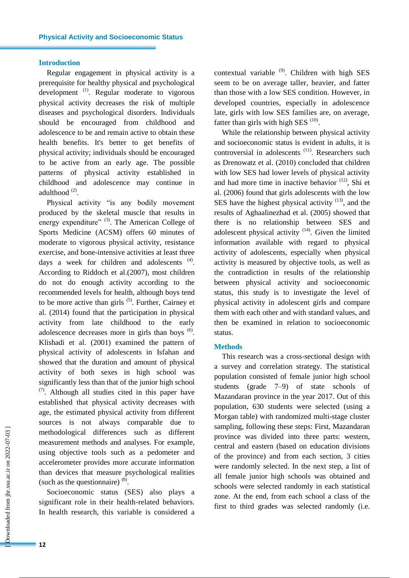## **Introduction**

Regular engagement in physical activity is a prerequisite for healthy physical and psychological development<sup>(1)</sup>. Regular moderate to vigorous physical activity decreases the risk of multiple diseases and psychological disorders. Individuals should be encouraged from childhood and adolescence to be and remain active to obtain these health benefits. It's better to get benefits of physical activity; individuals should be encouraged to be active from an early age. The possible patterns of physical activity established in childhood and adolescence may continue in adulthood<sup>(2)</sup>.

Physical activity "is any bodily movement produced by the skeletal muscle that results in energy expenditure" <sup>(3)</sup>. The American College of Sports Medicine (ACSM) offers 60 minutes of moderate to vigorous physical activity, resistance exercise, and bone-intensive activities at least three days a week for children and adolescents  $(4)$ . According to Riddoch et al.(2007), most children do not do enough activity according to the recommended levels for health, although boys tend to be more active than girls  $(5)$ . Further, Cairney et al. (2014) found that the participation in physical activity from late childhood to the early adolescence decreases more in girls than boys  $<sup>(6)</sup>$ .</sup> Klishadi et al. (2001) examined the pattern of physical activity of adolescents in Isfahan and showed that the duration and amount of physical activity of both sexes in high school was significantly less than that of the junior high school  $(7)$ . Although all studies cited in this paper have established that physical activity decreases with age, the estimated physical activity from different sources is not always comparable due to methodological differences such as different measurement methods and analyses. For example, using objective tools such as a pedometer and accelerometer provides more accurate information than devices that measure psychological realities (such as the questionnaire)  $(8)$ .

Socioeconomic status (SES) also plays a significant role in their health-related behaviors. In health research, this variable is considered a contextual variable  $(9)$ . Children with high SES seem to be on average taller, heavier, and fatter than those with a low SES condition. However, in developed countries, especially in adolescence late, girls with low SES families are, on average, fatter than girls with high SES  $(10)$ .

While the relationship between physical activity and socioeconomic status is evident in adults, it is controversial in adolescents<sup>(11)</sup>. Researchers such as Drenowatz et al. (2010) concluded that children with low SES had lower levels of physical activity and had more time in inactive behavior (12), Shi et al. (2006) found that girls adolescents with the low SES have the highest physical activity  $(13)$ , and the results of Aghaalinezhad et al. (2005) showed that there is no relationship between SES and adolescent physical activity  $(14)$ . Given the limited information available with regard to physical activity of adolescents, especially when physical activity is measured by objective tools, as well as the contradiction in results of the relationship between physical activity and socioeconomic status, this study is to investigate the level of physical activity in adolescent girls and compare them with each other and with standard values, and then be examined in relation to socioeconomic status.

#### **Methods**

This research was a cross-sectional design with a survey and correlation strategy. The statistical population consisted of female junior high school students (grade 7–9) of state schools of Mazandaran province in the year 2017. Out of this population, 630 students were selected (using a Morgan table) with randomized multi-stage cluster sampling, following these steps: First, Mazandaran province was divided into three parts: western, central and eastern (based on education divisions of the province) and from each section, 3 cities were randomly selected. In the next step, a list of all female junior high schools was obtained and schools were selected randomly in each statistical zone. At the end, from each school a class of the first to third grades was selected randomly (i.e.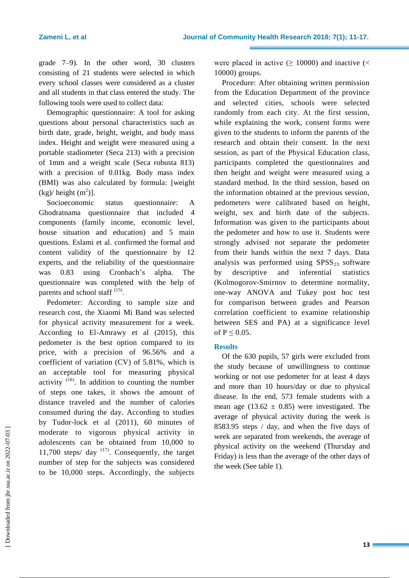grade 7–9). In the other word, 30 clusters consisting of 21 students were selected in which every school classes were considered as a cluster and all students in that class entered the study. The following tools were used to collect data:

Demographic questionnaire: A tool for asking questions about personal characteristics such as birth date, grade, height, weight, and body mass index. Height and weight were measured using a portable stadiometer (Seca 213) with a precision of 1mm and a weight scale (Seca robusta 813) with a precision of 0.01kg. Body mass index (BMI) was also calculated by formula: [weight  $(kg)/$  height  $(m^2)$ ].

Socioeconomic status questionnaire: A Ghodratnama questionnaire that included 4 components (family income, economic level, house situation and education) and 5 main questions. Eslami et al. confirmed the formal and content validity of the questionnaire by 12 experts, and the reliability of the questionnaire was 0.83 using Cronbach's alpha. The questionnaire was completed with the help of parents and school staff <sup>(15)</sup>.

Pedometer: According to sample size and research cost, the Xiaomi Mi Band was selected for physical activity measurement for a week. According to El-Amrawy et al (2015), this pedometer is the best option compared to its price, with a precision of 96.56% and a coefficient of variation (CV) of 5.81%, which is an acceptable tool for measuring physical activity  $(16)$ . In addition to counting the number of steps one takes, it shows the amount of distance traveled and the number of calories consumed during the day. According to studies by Tudor-lock et al (2011), 60 minutes of moderate to vigorous physical activity in adolescents can be obtained from 10,000 to 11,700 steps/ $day$ <sup>(17)</sup>. Consequently, the target number of step for the subjects was considered to be 10,000 steps. Accordingly, the subjects

were placed in active  $( \ge 10000)$  and inactive  $($ 10000) groups.

Procedure: After obtaining written permission from the Education Department of the province and selected cities, schools were selected randomly from each city. At the first session, while explaining the work, consent forms were given to the students to inform the parents of the research and obtain their consent. In the next session, as part of the Physical Education class, participants completed the questionnaires and then height and weight were measured using a standard method. In the third session, based on the information obtained at the previous session, pedometers were calibrated based on height, weight, sex and birth date of the subjects. Information was given to the participants about the pedometer and how to use it. Students were strongly advised not separate the pedometer from their hands within the next 7 days. Data analysis was performed using  $SPSS_{23}$  software by descriptive and inferential statistics (Kolmogorov-Smirnov to determine normality, one-way ANOVA and Tukey post hoc test for comparison between grades and Pearson correlation coefficient to examine relationship between SES and PA) at a significance level of  $P \leq 0.05$ .

# **Results**

Of the 630 pupils, 57 girls were excluded from the study because of unwillingness to continue working or not use pedometer for at least 4 days and more than 10 hours/day or due to physical disease. In the end, 573 female students with a mean age (13.62  $\pm$  0.85) were investigated. The average of physical activity during the week is 8583.95 steps / day, and when the five days of week are separated from weekends, the average of physical activity on the weekend (Thursday and Friday) is less than the average of the other days of the week (See table 1).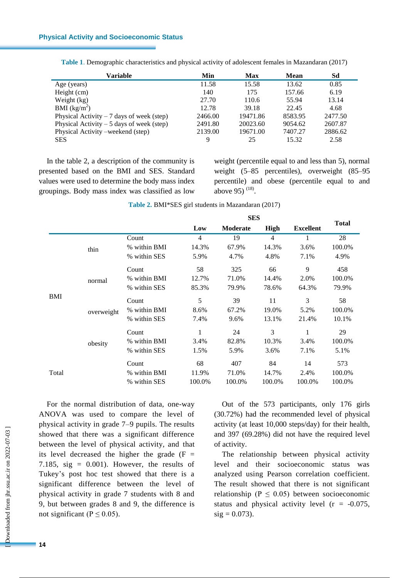| Variable                                   | Min     | <b>Max</b> | <b>Mean</b> | Sd      |
|--------------------------------------------|---------|------------|-------------|---------|
| Age (years)                                | 11.58   | 15.58      | 13.62       | 0.85    |
| Height (cm)                                | 140     | 175        | 157.66      | 6.19    |
| Weight (kg)                                | 27.70   | 110.6      | 55.94       | 13.14   |
| BMI (kg/m <sup>2</sup> )                   | 12.78   | 39.18      | 22.45       | 4.68    |
| Physical Activity $-7$ days of week (step) | 2466.00 | 19471.86   | 8583.95     | 2477.50 |
| Physical Activity $-5$ days of week (step) | 2491.80 | 20023.60   | 9054.62     | 2607.87 |
| Physical Activity – weekend (step)         | 2139.00 | 19671.00   | 7407.27     | 2886.62 |
| <b>SES</b>                                 | 9       | 25         | 15.32       | 2.58    |

**Table 1**. Demographic characteristics and physical activity of adolescent females in Mazandaran (2017)

In the table 2, a description of the community is presented based on the BMI and SES. Standard values were used to determine the body mass index groupings. Body mass index was classified as low weight (percentile equal to and less than 5), normal weight (5–85 percentiles), overweight (85–95 percentile) and obese (percentile equal to and above 95)  $(18)$ .

|                                                       |              |              |                | <b>SES</b> |                |                  |              |
|-------------------------------------------------------|--------------|--------------|----------------|------------|----------------|------------------|--------------|
|                                                       |              |              | Low            | Moderate   | High           | <b>Excellent</b> | <b>Total</b> |
|                                                       |              | Count        | $\overline{4}$ | 19         | $\overline{4}$ | 1                | 28           |
| thin<br>normal<br><b>BMI</b><br>overweight<br>obesity | % within BMI | 14.3%        | 67.9%          | 14.3%      | 3.6%           | 100.0%           |              |
|                                                       |              | % within SES | 5.9%           | 4.7%       | 4.8%           | 7.1%             | 4.9%         |
|                                                       |              | Count        | 58             | 325        | 66             | 9                | 458          |
|                                                       |              | % within BMI | 12.7%          | 71.0%      | 14.4%          | 2.0%             | 100.0%       |
|                                                       |              | % within SES | 85.3%          | 79.9%      | 78.6%          | 64.3%            | 79.9%        |
|                                                       |              | Count        | 5              | 39         | 11             | 3                | 58           |
|                                                       |              | % within BMI | 8.6%           | 67.2%      | 19.0%          | 5.2%             | 100.0%       |
|                                                       |              | % within SES | 7.4%           | 9.6%       | 13.1%          | 21.4%            | 10.1%        |
|                                                       |              | Count        | 1              | 24         | 3              | 1                | 29           |
|                                                       |              | % within BMI | 3.4%           | 82.8%      | 10.3%          | 3.4%             | 100.0%       |
|                                                       |              | % within SES | 1.5%           | 5.9%       | 3.6%           | 7.1%             | 5.1%         |
| Total                                                 |              | Count        | 68             | 407        | 84             | 14               | 573          |
|                                                       |              | % within BMI | 11.9%          | 71.0%      | 14.7%          | 2.4%             | 100.0%       |
|                                                       |              | % within SES | 100.0%         | 100.0%     | 100.0%         | 100.0%           | 100.0%       |

**Table 2.** BMI\*SES girl students in Mazandaran (2017)

For the normal distribution of data, one-way ANOVA was used to compare the level of physical activity in grade 7–9 pupils. The results showed that there was a significant difference between the level of physical activity, and that its level decreased the higher the grade  $(F =$ 7.185, sig =  $0.001$ ). However, the results of Tukey's post hoc test showed that there is a significant difference between the level of physical activity in grade 7 students with 8 and 9, but between grades 8 and 9, the difference is not significant ( $P \le 0.05$ ).

Out of the 573 participants, only 176 girls (30.72%) had the recommended level of physical activity (at least 10,000 steps/day) for their health, and 397 (69.28%) did not have the required level of activity.

The relationship between physical activity level and their socioeconomic status was analyzed using Pearson correlation coefficient. The result showed that there is not significant relationship ( $P \leq 0.05$ ) between socioeconomic status and physical activity level  $(r = -0.075)$ ,  $sig = 0.073$ ).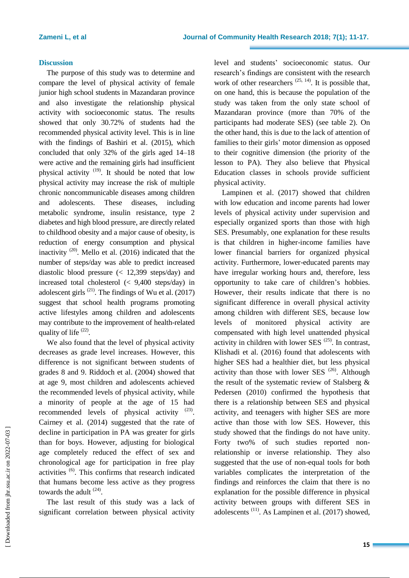### **Discussion**

The purpose of this study was to determine and compare the level of physical activity of female junior high school students in Mazandaran province and also investigate the relationship physical activity with socioeconomic status. The results showed that only 30.72% of students had the recommended physical activity level. This is in line with the findings of Bashiri et al. (2015), which concluded that only 32% of the girls aged 14–18 were active and the remaining girls had insufficient physical activity <sup>(19)</sup>. It should be noted that low physical activity may increase the risk of multiple chronic noncommunicable diseases among children and adolescents. These diseases, including metabolic syndrome, insulin resistance, type 2 diabetes and high blood pressure, are directly related to childhood obesity and a major cause of obesity, is reduction of energy consumption and physical inactivity  $(20)$ . Mello et al. (2016) indicated that the number of steps/day was able to predict increased diastolic blood pressure (< 12,399 steps/day) and increased total cholesterol (< 9,400 steps/day) in adolescent girls  $(21)$ . The findings of Wu et al.  $(2017)$ suggest that school health programs promoting active lifestyles among children and adolescents may contribute to the improvement of health-related quality of life <sup>(22)</sup>.

We also found that the level of physical activity decreases as grade level increases. However, this difference is not significant between students of grades 8 and 9. Riddoch et al. (2004) showed that at age 9, most children and adolescents achieved the recommended levels of physical activity, while a minority of people at the age of 15 had recommended levels of physical activity  $(23)$ . Cairney et al. (2014) suggested that the rate of decline in participation in PA was greater for girls than for boys. However, adjusting for biological age completely reduced the effect of sex and chronological age for participation in free play activities (6). This confirms that research indicated that humans become less active as they progress towards the adult  $(24)$ .

The last result of this study was a lack of significant correlation between physical activity level and students' socioeconomic status. Our research's findings are consistent with the research work of other researchers  $(25, 14)$ . It is possible that, on one hand, this is because the population of the study was taken from the only state school of Mazandaran province (more than 70% of the participants had moderate SES) (see table 2). On the other hand, this is due to the lack of attention of families to their girls' motor dimension as opposed to their cognitive dimension (the priority of the lesson to PA). They also believe that Physical Education classes in schools provide sufficient physical activity.

Lampinen et al. (2017) showed that children with low education and income parents had lower levels of physical activity under supervision and especially organized sports than those with high SES. Presumably, one explanation for these results is that children in higher-income families have lower financial barriers for organized physical activity. Furthermore, lower-educated parents may have irregular working hours and, therefore, less opportunity to take care of children's hobbies. However, their results indicate that there is no significant difference in overall physical activity among children with different SES, because low levels of monitored physical activity are compensated with high level unattended physical activity in children with lower SES  $(25)$ . In contrast, Klishadi et al. (2016) found that adolescents with higher SES had a healthier diet, but less physical activity than those with lower SES  $(26)$ . Although the result of the systematic review of Stalsberg & Pedersen (2010) confirmed the hypothesis that there is a relationship between SES and physical activity, and teenagers with higher SES are more active than those with low SES. However, this study showed that the findings do not have unity. Forty two% of such studies reported nonrelationship or inverse relationship. They also suggested that the use of non-equal tools for both variables complicates the interpretation of the findings and reinforces the claim that there is no explanation for the possible difference in physical activity between groups with different SES in adolescents (11). As Lampinen et al. (2017) showed,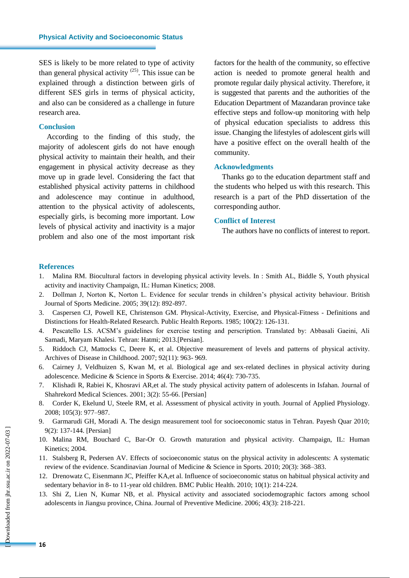SES is likely to be more related to type of activity than general physical activity  $(25)$ . This issue can be explained through a distinction between girls of different SES girls in terms of physical acticity, and also can be considered as a challenge in future research area.

## **Conclusion**

According to the finding of this study, the majority of adolescent girls do not have enough physical activity to maintain their health, and their engagement in physical activity decrease as they move up in grade level. Considering the fact that established physical activity patterns in childhood and adolescence may continue in adulthood, attention to the physical activity of adolescents, especially girls, is becoming more important. Low levels of physical activity and inactivity is a major problem and also one of the most important risk

factors for the health of the community, so effective action is needed to promote general health and promote regular daily physical activity. Therefore, it is suggested that parents and the authorities of the Education Department of Mazandaran province take effective steps and follow-up monitoring with help of physical education specialists to address this issue. Changing the lifestyles of adolescent girls will have a positive effect on the overall health of the community.

#### **Acknowledgments**

Thanks go to the education department staff and the students who helped us with this research. This research is a part of the PhD dissertation of the corresponding author.

# **Conflict of Interest**

The authors have no conflicts of interest to report.

### **References**

- 1. Malina RM. Biocultural factors in developing physical activity levels. In : Smith AL, Biddle S, Youth physical activity and inactivity Champaign, IL: Human Kinetics; 2008.
- 2. Dollman J, Norton K, Norton L. Evidence for secular trends in children's physical activity behaviour. British Journal of Sports Medicine. 2005; 39(12): 892-897.
- 3. Caspersen CJ, Powell KE, Christenson GM. Physical-Activity, Exercise, and Physical-Fitness Definitions and Distinctions for Health-Related Research. Public Health Reports. 1985; 100(2): 126-131.
- 4. Pescatello LS. ACSM's guidelines for exercise testing and perscription. Translated by: Abbasali Gaeini, Ali Samadi, Maryam Khalesi. Tehran: Hatmi; 2013.[Persian].
- 5. Riddoch CJ, Mattocks C, Deere K, et al. Objective measurement of levels and patterns of physical activity. Archives of Disease in Childhood. 2007; 92(11): 963- 969.
- 6. Cairney J, Veldhuizen S, Kwan M, et al. Biological age and sex-related declines in physical activity during adolescence. Medicine & Science in Sports & Exercise. 2014; 46(4): 730-735.
- 7. Klishadi R, Rabiei K, Khosravi AR,et al. The study physical activity pattern of adolescents in Isfahan. Journal of Shahrekord Medical Sciences. 2001; 3(2): 55-66. [Persian]
- 8. Corder K, Ekelund U, Steele RM, et al. Assessment of physical activity in youth. Journal of Applied Physiology. 2008; 105(3): 977–987.
- 9. Garmarudi GH, Moradi A. The design measurement tool for socioeconomic status in Tehran. Payesh Quar 2010; 9(2): 137-144. [Persian]
- 10. Malina RM, Bouchard C, Bar-Or O. Growth maturation and physical activity. Champaign, IL: Human Kinetics; 2004.
- 11. Stalsberg R, Pedersen AV. Effects of socioeconomic status on the physical activity in adolescents: A systematic review of the evidence. Scandinavian Journal of Medicine & Science in Sports. 2010; 20(3): 368–383.
- 12. Drenowatz C, Eisenmann JC, Pfeiffer KA,et al. Influence of socioeconomic status on habitual physical activity and sedentary behavior in 8- to 11-year old children. BMC Public Health. 2010; 10(1): 214-224.
- 13. Shi Z, Lien N, Kumar NB, et al. Physical activity and associated sociodemographic factors among school adolescents in Jiangsu province, China. Journal of Preventive Medicine. 2006; 43(3): 218-221*.*